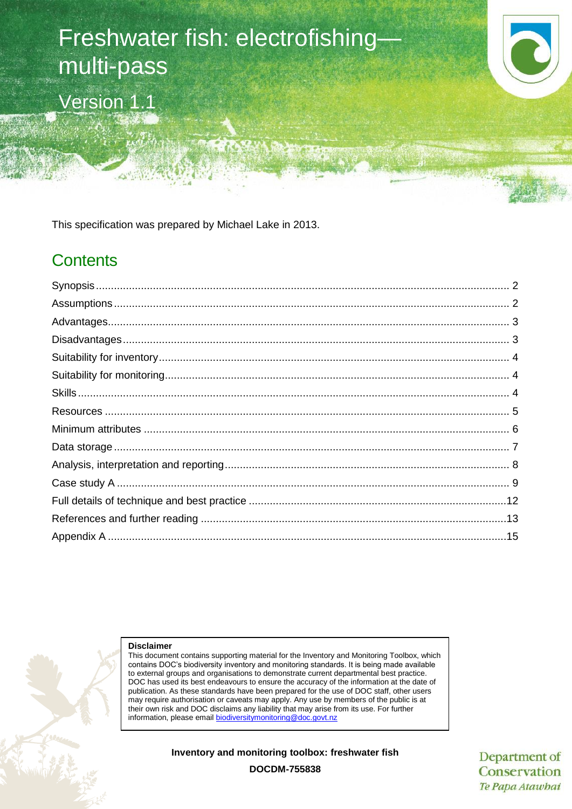# Freshwater fish: electrofishing multi-pass Version 1.1

This specification was prepared by Michael Lake in 2013.

# **Contents**



#### **Disclaimer**

This document contains supporting material for the Inventory and Monitoring Toolbox, which contains DOC's biodiversity inventory and monitoring standards. It is being made available to external groups and organisations to demonstrate current departmental best practice. DOC has used its best endeavours to ensure the accuracy of the information at the date of publication. As these standards have been prepared for the use of DOC staff, other users may require authorisation or caveats may apply. Any use by members of the public is at their own risk and DOC disclaims any liability that may arise from its use. For further information, please email [biodiversitymonitoring@doc.govt.nz](mailto:biodiversitymonitoring@doc.govt.nz)

**Inventory and monitoring toolbox: freshwater fish**

Department of Conservation Te Papa Atawbai

**DOCDM-755838**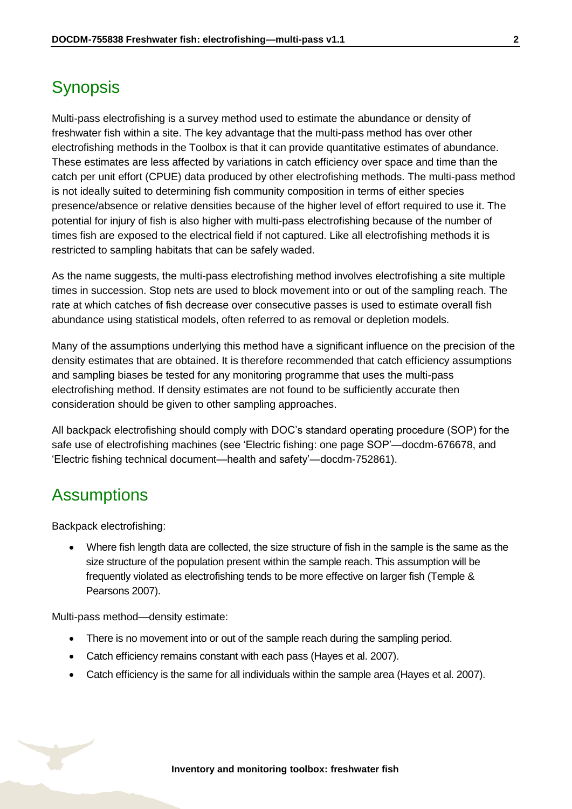# <span id="page-1-0"></span>**Synopsis**

Multi-pass electrofishing is a survey method used to estimate the abundance or density of freshwater fish within a site. The key advantage that the multi-pass method has over other electrofishing methods in the Toolbox is that it can provide quantitative estimates of abundance. These estimates are less affected by variations in catch efficiency over space and time than the catch per unit effort (CPUE) data produced by other electrofishing methods. The multi-pass method is not ideally suited to determining fish community composition in terms of either species presence/absence or relative densities because of the higher level of effort required to use it. The potential for injury of fish is also higher with multi-pass electrofishing because of the number of times fish are exposed to the electrical field if not captured. Like all electrofishing methods it is restricted to sampling habitats that can be safely waded.

As the name suggests, the multi-pass electrofishing method involves electrofishing a site multiple times in succession. Stop nets are used to block movement into or out of the sampling reach. The rate at which catches of fish decrease over consecutive passes is used to estimate overall fish abundance using statistical models, often referred to as removal or depletion models.

Many of the assumptions underlying this method have a significant influence on the precision of the density estimates that are obtained. It is therefore recommended that catch efficiency assumptions and sampling biases be tested for any monitoring programme that uses the multi-pass electrofishing method. If density estimates are not found to be sufficiently accurate then consideration should be given to other sampling approaches.

All backpack electrofishing should comply with DOC's standard operating procedure (SOP) for the safe use of electrofishing machines (see 'Electric fishing: one page SOP'—docdm-676678, and 'Electric fishing technical document—health and safety'—docdm-752861).

### <span id="page-1-1"></span>**Assumptions**

Backpack electrofishing:

 Where fish length data are collected, the size structure of fish in the sample is the same as the size structure of the population present within the sample reach. This assumption will be frequently violated as electrofishing tends to be more effective on larger fish (Temple & Pearsons 2007).

Multi-pass method—density estimate:

- There is no movement into or out of the sample reach during the sampling period.
- Catch efficiency remains constant with each pass (Hayes et al. 2007).
- Catch efficiency is the same for all individuals within the sample area (Hayes et al. 2007).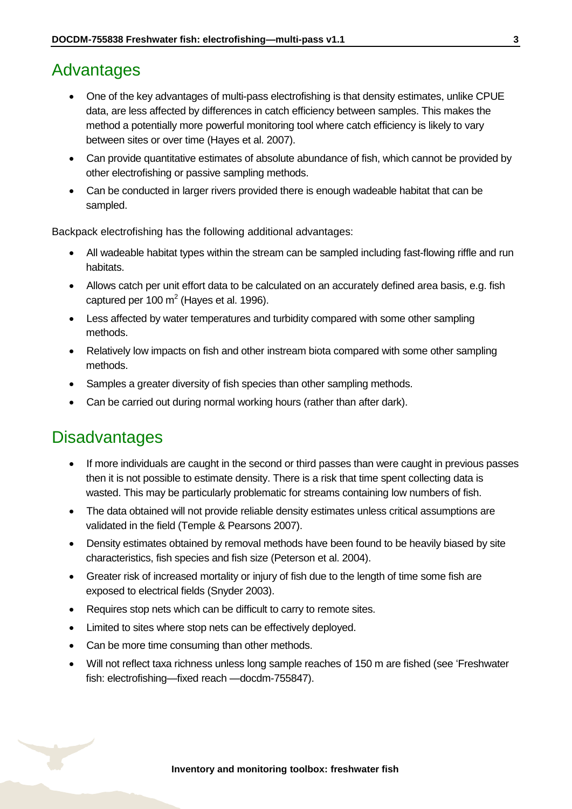### <span id="page-2-0"></span>Advantages

- One of the key advantages of multi-pass electrofishing is that density estimates, unlike CPUE data, are less affected by differences in catch efficiency between samples. This makes the method a potentially more powerful monitoring tool where catch efficiency is likely to vary between sites or over time (Hayes et al. 2007).
- Can provide quantitative estimates of absolute abundance of fish, which cannot be provided by other electrofishing or passive sampling methods.
- Can be conducted in larger rivers provided there is enough wadeable habitat that can be sampled.

Backpack electrofishing has the following additional advantages:

- All wadeable habitat types within the stream can be sampled including fast-flowing riffle and run habitats.
- Allows catch per unit effort data to be calculated on an accurately defined area basis, e.g. fish captured per 100  $m^2$  (Hayes et al. 1996).
- Less affected by water temperatures and turbidity compared with some other sampling methods.
- Relatively low impacts on fish and other instream biota compared with some other sampling methods.
- Samples a greater diversity of fish species than other sampling methods.
- Can be carried out during normal working hours (rather than after dark).

# <span id="page-2-1"></span>**Disadvantages**

- If more individuals are caught in the second or third passes than were caught in previous passes then it is not possible to estimate density. There is a risk that time spent collecting data is wasted. This may be particularly problematic for streams containing low numbers of fish.
- The data obtained will not provide reliable density estimates unless critical assumptions are validated in the field (Temple & Pearsons 2007).
- Density estimates obtained by removal methods have been found to be heavily biased by site characteristics, fish species and fish size (Peterson et al. 2004).
- Greater risk of increased mortality or injury of fish due to the length of time some fish are exposed to electrical fields (Snyder 2003).
- Requires stop nets which can be difficult to carry to remote sites.
- Limited to sites where stop nets can be effectively deployed.
- Can be more time consuming than other methods.
- Will not reflect taxa richness unless long sample reaches of 150 m are fished (see 'Freshwater fish: electrofishing—fixed reach —docdm-755847).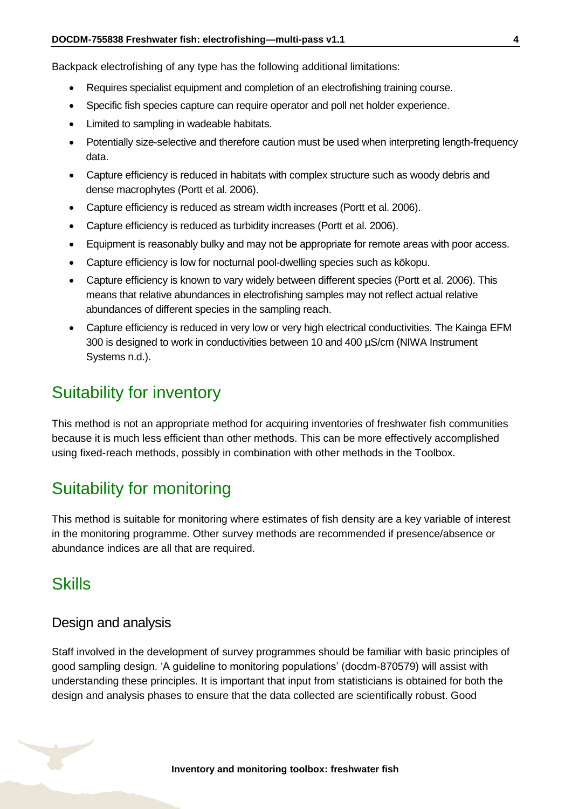Backpack electrofishing of any type has the following additional limitations:

- Requires specialist equipment and completion of an electrofishing training course.
- Specific fish species capture can require operator and poll net holder experience.
- Limited to sampling in wadeable habitats.
- Potentially size-selective and therefore caution must be used when interpreting length-frequency data.
- Capture efficiency is reduced in habitats with complex structure such as woody debris and dense macrophytes (Portt et al. 2006).
- Capture efficiency is reduced as stream width increases (Portt et al. 2006).
- Capture efficiency is reduced as turbidity increases (Portt et al. 2006).
- Equipment is reasonably bulky and may not be appropriate for remote areas with poor access.
- Capture efficiency is low for nocturnal pool-dwelling species such as kōkopu.
- Capture efficiency is known to vary widely between different species (Portt et al. 2006). This means that relative abundances in electrofishing samples may not reflect actual relative abundances of different species in the sampling reach.
- Capture efficiency is reduced in very low or very high electrical conductivities. The Kainga EFM 300 is designed to work in conductivities between 10 and 400 µS/cm (NIWA Instrument Systems n.d.).

## <span id="page-3-0"></span>Suitability for inventory

This method is not an appropriate method for acquiring inventories of freshwater fish communities because it is much less efficient than other methods. This can be more effectively accomplished using fixed-reach methods, possibly in combination with other methods in the Toolbox.

# <span id="page-3-1"></span>Suitability for monitoring

This method is suitable for monitoring where estimates of fish density are a key variable of interest in the monitoring programme. Other survey methods are recommended if presence/absence or abundance indices are all that are required.

### <span id="page-3-2"></span>**Skills**

### Design and analysis

Staff involved in the development of survey programmes should be familiar with basic principles of good sampling design. 'A guideline to monitoring populations' (docdm-870579) will assist with understanding these principles. It is important that input from statisticians is obtained for both the design and analysis phases to ensure that the data collected are scientifically robust. Good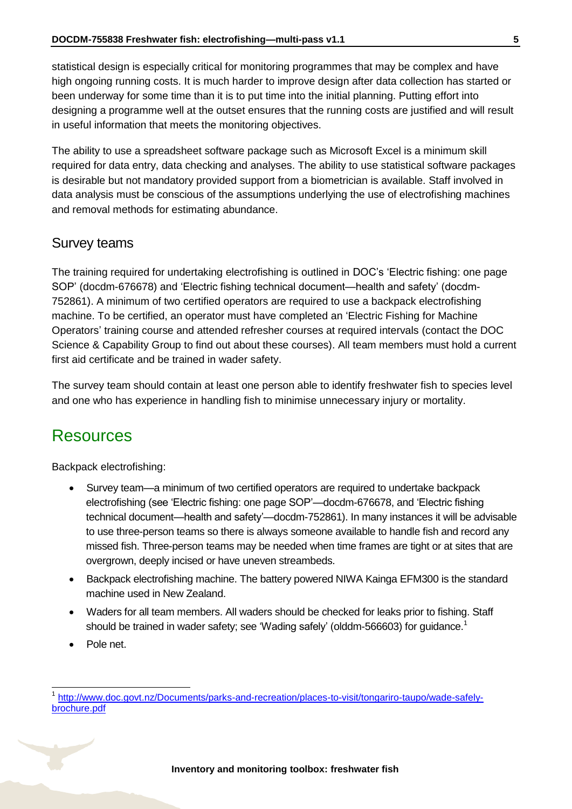statistical design is especially critical for monitoring programmes that may be complex and have high ongoing running costs. It is much harder to improve design after data collection has started or been underway for some time than it is to put time into the initial planning. Putting effort into designing a programme well at the outset ensures that the running costs are justified and will result in useful information that meets the monitoring objectives.

The ability to use a spreadsheet software package such as Microsoft Excel is a minimum skill required for data entry, data checking and analyses. The ability to use statistical software packages is desirable but not mandatory provided support from a biometrician is available. Staff involved in data analysis must be conscious of the assumptions underlying the use of electrofishing machines and removal methods for estimating abundance.

#### Survey teams

The training required for undertaking electrofishing is outlined in DOC's 'Electric fishing: one page SOP' (docdm-676678) and 'Electric fishing technical document—health and safety' (docdm-752861). A minimum of two certified operators are required to use a backpack electrofishing machine. To be certified, an operator must have completed an 'Electric Fishing for Machine Operators' training course and attended refresher courses at required intervals (contact the DOC Science & Capability Group to find out about these courses). All team members must hold a current first aid certificate and be trained in wader safety.

The survey team should contain at least one person able to identify freshwater fish to species level and one who has experience in handling fish to minimise unnecessary injury or mortality.

### <span id="page-4-0"></span>Resources

Backpack electrofishing:

- Survey team—a minimum of two certified operators are required to undertake backpack electrofishing (see 'Electric fishing: one page SOP'—docdm-676678, and 'Electric fishing technical document—health and safety'—docdm-752861). In many instances it will be advisable to use three-person teams so there is always someone available to handle fish and record any missed fish. Three-person teams may be needed when time frames are tight or at sites that are overgrown, deeply incised or have uneven streambeds.
- Backpack electrofishing machine. The battery powered NIWA Kainga EFM300 is the standard machine used in New Zealand.
- Waders for all team members. All waders should be checked for leaks prior to fishing. Staff should be trained in wader safety; see 'Wading safely' (olddm-566603) for guidance.<sup>1</sup>
- Pole net.

 $\overline{1}$ 

<sup>1</sup> [http://www.doc.govt.nz/Documents/parks-and-recreation/places-to-visit/tongariro-taupo/wade-safely](http://www.doc.govt.nz/Documents/parks-and-recreation/places-to-visit/tongariro-taupo/wade-safely-brochure.pdf)[brochure.pdf](http://www.doc.govt.nz/Documents/parks-and-recreation/places-to-visit/tongariro-taupo/wade-safely-brochure.pdf)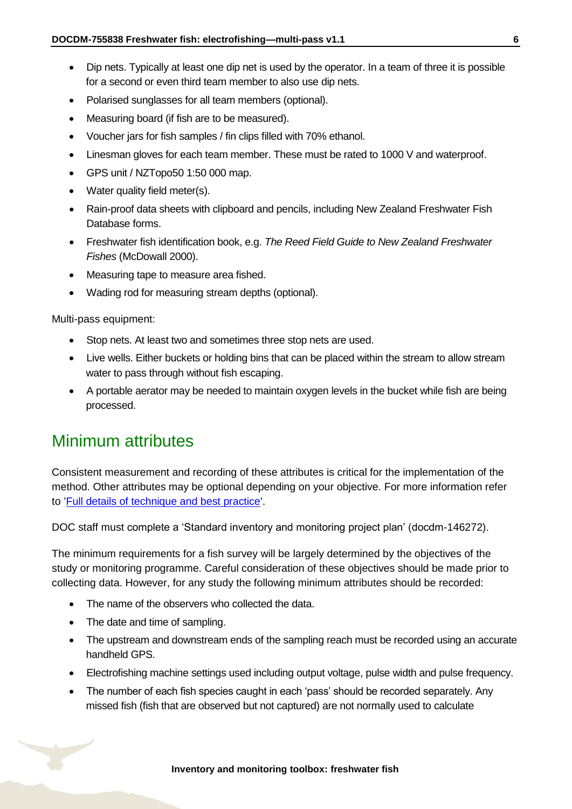- Dip nets. Typically at least one dip net is used by the operator. In a team of three it is possible for a second or even third team member to also use dip nets.
- Polarised sunglasses for all team members (optional).
- Measuring board (if fish are to be measured).
- Voucher jars for fish samples / fin clips filled with 70% ethanol.
- Linesman gloves for each team member. These must be rated to 1000 V and waterproof.
- GPS unit / NZTopo50 1:50 000 map.
- Water quality field meter(s).
- Rain-proof data sheets with clipboard and pencils, including New Zealand Freshwater Fish Database forms.
- Freshwater fish identification book, e.g. *The Reed Field Guide to New Zealand Freshwater Fishes* (McDowall 2000).
- Measuring tape to measure area fished.
- Wading rod for measuring stream depths (optional).

Multi-pass equipment:

- Stop nets. At least two and sometimes three stop nets are used.
- Live wells. Either buckets or holding bins that can be placed within the stream to allow stream water to pass through without fish escaping.
- A portable aerator may be needed to maintain oxygen levels in the bucket while fish are being processed.

### <span id="page-5-0"></span>Minimum attributes

Consistent measurement and recording of these attributes is critical for the implementation of the method. Other attributes may be optional depending on your objective. For more information refer to ['Full details of technique and best practice'](#page-11-0).

DOC staff must complete a 'Standard inventory and monitoring project plan' (docdm-146272).

The minimum requirements for a fish survey will be largely determined by the objectives of the study or monitoring programme. Careful consideration of these objectives should be made prior to collecting data. However, for any study the following minimum attributes should be recorded:

- The name of the observers who collected the data.
- The date and time of sampling.
- The upstream and downstream ends of the sampling reach must be recorded using an accurate handheld GPS.
- Electrofishing machine settings used including output voltage, pulse width and pulse frequency.
- The number of each fish species caught in each 'pass' should be recorded separately. Any missed fish (fish that are observed but not captured) are not normally used to calculate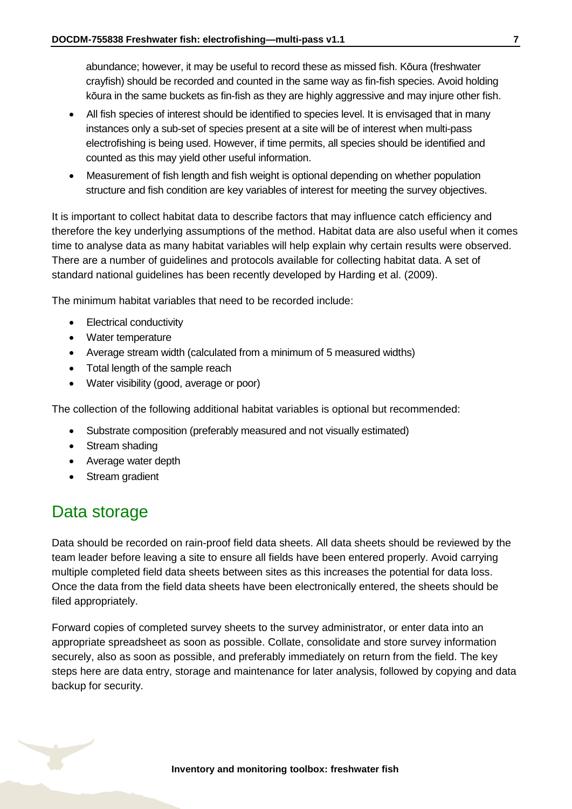abundance; however, it may be useful to record these as missed fish. Kōura (freshwater crayfish) should be recorded and counted in the same way as fin-fish species. Avoid holding kōura in the same buckets as fin-fish as they are highly aggressive and may injure other fish.

- All fish species of interest should be identified to species level. It is envisaged that in many instances only a sub-set of species present at a site will be of interest when multi-pass electrofishing is being used. However, if time permits, all species should be identified and counted as this may yield other useful information.
- Measurement of fish length and fish weight is optional depending on whether population structure and fish condition are key variables of interest for meeting the survey objectives.

It is important to collect habitat data to describe factors that may influence catch efficiency and therefore the key underlying assumptions of the method. Habitat data are also useful when it comes time to analyse data as many habitat variables will help explain why certain results were observed. There are a number of guidelines and protocols available for collecting habitat data. A set of standard national guidelines has been recently developed by Harding et al. (2009).

The minimum habitat variables that need to be recorded include:

- Electrical conductivity
- Water temperature
- Average stream width (calculated from a minimum of 5 measured widths)
- Total length of the sample reach
- Water visibility (good, average or poor)

The collection of the following additional habitat variables is optional but recommended:

- Substrate composition (preferably measured and not visually estimated)
- Stream shading
- Average water depth
- Stream gradient

# <span id="page-6-0"></span>Data storage

Data should be recorded on rain-proof field data sheets. All data sheets should be reviewed by the team leader before leaving a site to ensure all fields have been entered properly. Avoid carrying multiple completed field data sheets between sites as this increases the potential for data loss. Once the data from the field data sheets have been electronically entered, the sheets should be filed appropriately.

Forward copies of completed survey sheets to the survey administrator, or enter data into an appropriate spreadsheet as soon as possible. Collate, consolidate and store survey information securely, also as soon as possible, and preferably immediately on return from the field. The key steps here are data entry, storage and maintenance for later analysis, followed by copying and data backup for security.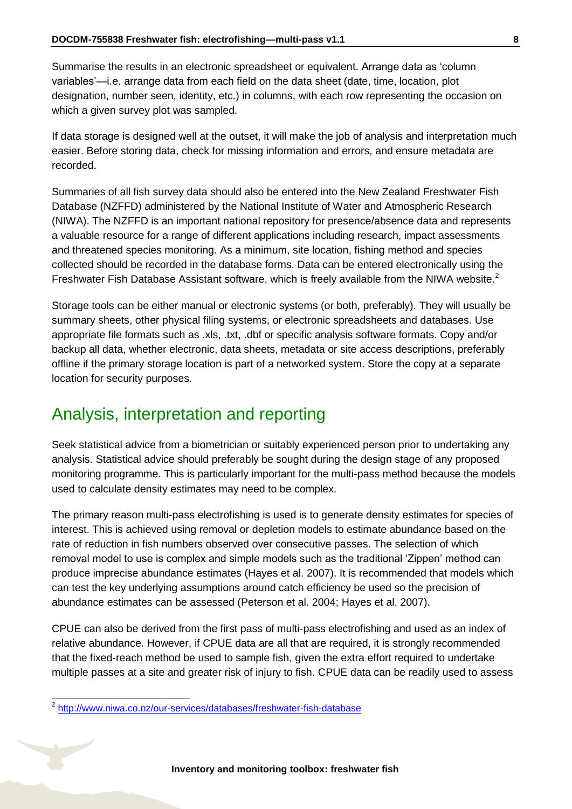Summarise the results in an electronic spreadsheet or equivalent. Arrange data as 'column variables'—i.e. arrange data from each field on the data sheet (date, time, location, plot designation, number seen, identity, etc.) in columns, with each row representing the occasion on which a given survey plot was sampled.

If data storage is designed well at the outset, it will make the job of analysis and interpretation much easier. Before storing data, check for missing information and errors, and ensure metadata are recorded.

Summaries of all fish survey data should also be entered into the New Zealand Freshwater Fish Database (NZFFD) administered by the National Institute of Water and Atmospheric Research (NIWA). The NZFFD is an important national repository for presence/absence data and represents a valuable resource for a range of different applications including research, impact assessments and threatened species monitoring. As a minimum, site location, fishing method and species collected should be recorded in the database forms. Data can be entered electronically using the Freshwater Fish Database Assistant software, which is freely available from the NIWA website.<sup>2</sup>

Storage tools can be either manual or electronic systems (or both, preferably). They will usually be summary sheets, other physical filing systems, or electronic spreadsheets and databases. Use appropriate file formats such as .xls, .txt, .dbf or specific analysis software formats. Copy and/or backup all data, whether electronic, data sheets, metadata or site access descriptions, preferably offline if the primary storage location is part of a networked system. Store the copy at a separate location for security purposes.

### <span id="page-7-0"></span>Analysis, interpretation and reporting

Seek statistical advice from a biometrician or suitably experienced person prior to undertaking any analysis. Statistical advice should preferably be sought during the design stage of any proposed monitoring programme. This is particularly important for the multi-pass method because the models used to calculate density estimates may need to be complex.

The primary reason multi-pass electrofishing is used is to generate density estimates for species of interest. This is achieved using removal or depletion models to estimate abundance based on the rate of reduction in fish numbers observed over consecutive passes. The selection of which removal model to use is complex and simple models such as the traditional 'Zippen' method can produce imprecise abundance estimates (Hayes et al. 2007). It is recommended that models which can test the key underlying assumptions around catch efficiency be used so the precision of abundance estimates can be assessed (Peterson et al. 2004; Hayes et al. 2007).

CPUE can also be derived from the first pass of multi-pass electrofishing and used as an index of relative abundance. However, if CPUE data are all that are required, it is strongly recommended that the fixed-reach method be used to sample fish, given the extra effort required to undertake multiple passes at a site and greater risk of injury to fish. CPUE data can be readily used to assess

-

<sup>&</sup>lt;sup>2</sup> <http://www.niwa.co.nz/our-services/databases/freshwater-fish-database>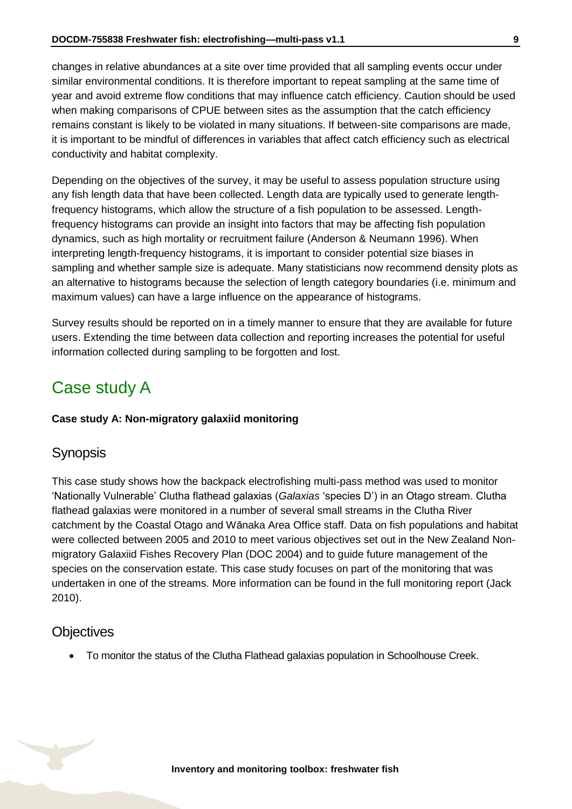changes in relative abundances at a site over time provided that all sampling events occur under similar environmental conditions. It is therefore important to repeat sampling at the same time of year and avoid extreme flow conditions that may influence catch efficiency. Caution should be used when making comparisons of CPUE between sites as the assumption that the catch efficiency remains constant is likely to be violated in many situations. If between-site comparisons are made, it is important to be mindful of differences in variables that affect catch efficiency such as electrical conductivity and habitat complexity.

Depending on the objectives of the survey, it may be useful to assess population structure using any fish length data that have been collected. Length data are typically used to generate lengthfrequency histograms, which allow the structure of a fish population to be assessed. Lengthfrequency histograms can provide an insight into factors that may be affecting fish population dynamics, such as high mortality or recruitment failure (Anderson & Neumann 1996). When interpreting length-frequency histograms, it is important to consider potential size biases in sampling and whether sample size is adequate. Many statisticians now recommend density plots as an alternative to histograms because the selection of length category boundaries (i.e. minimum and maximum values) can have a large influence on the appearance of histograms.

Survey results should be reported on in a timely manner to ensure that they are available for future users. Extending the time between data collection and reporting increases the potential for useful information collected during sampling to be forgotten and lost.

# <span id="page-8-0"></span>Case study A

#### **Case study A: Non-migratory galaxiid monitoring**

### Synopsis

This case study shows how the backpack electrofishing multi-pass method was used to monitor 'Nationally Vulnerable' Clutha flathead galaxias (*Galaxias* 'species D') in an Otago stream. Clutha flathead galaxias were monitored in a number of several small streams in the Clutha River catchment by the Coastal Otago and Wānaka Area Office staff. Data on fish populations and habitat were collected between 2005 and 2010 to meet various objectives set out in the New Zealand Nonmigratory Galaxiid Fishes Recovery Plan (DOC 2004) and to guide future management of the species on the conservation estate. This case study focuses on part of the monitoring that was undertaken in one of the streams. More information can be found in the full monitoring report (Jack 2010).

#### **Objectives**

To monitor the status of the Clutha Flathead galaxias population in Schoolhouse Creek.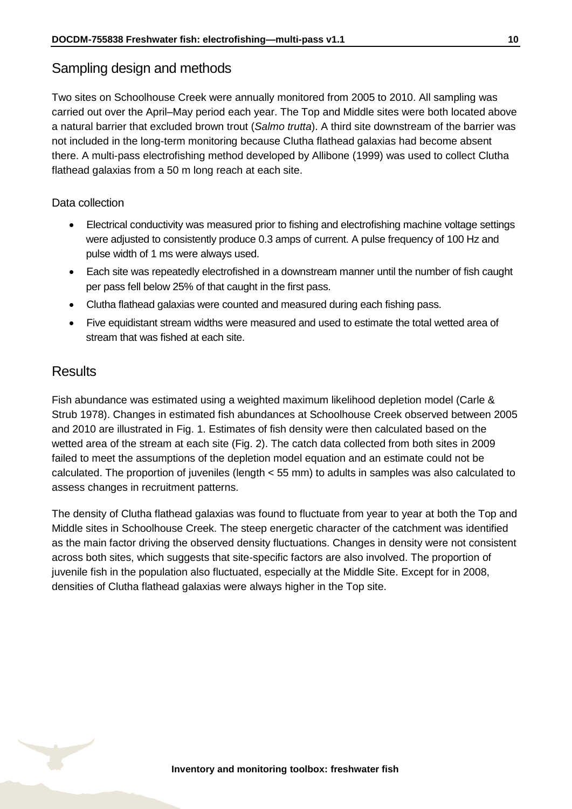### Sampling design and methods

Two sites on Schoolhouse Creek were annually monitored from 2005 to 2010. All sampling was carried out over the April–May period each year. The Top and Middle sites were both located above a natural barrier that excluded brown trout (*Salmo trutta*). A third site downstream of the barrier was not included in the long-term monitoring because Clutha flathead galaxias had become absent there. A multi-pass electrofishing method developed by Allibone (1999) was used to collect Clutha flathead galaxias from a 50 m long reach at each site.

#### Data collection

- Electrical conductivity was measured prior to fishing and electrofishing machine voltage settings were adjusted to consistently produce 0.3 amps of current. A pulse frequency of 100 Hz and pulse width of 1 ms were always used.
- Each site was repeatedly electrofished in a downstream manner until the number of fish caught per pass fell below 25% of that caught in the first pass.
- Clutha flathead galaxias were counted and measured during each fishing pass.
- Five equidistant stream widths were measured and used to estimate the total wetted area of stream that was fished at each site.

### **Results**

Fish abundance was estimated using a weighted maximum likelihood depletion model (Carle & Strub 1978). Changes in estimated fish abundances at Schoolhouse Creek observed between 2005 and 2010 are illustrated in Fig. 1. Estimates of fish density were then calculated based on the wetted area of the stream at each site (Fig. 2). The catch data collected from both sites in 2009 failed to meet the assumptions of the depletion model equation and an estimate could not be calculated. The proportion of juveniles (length < 55 mm) to adults in samples was also calculated to assess changes in recruitment patterns.

The density of Clutha flathead galaxias was found to fluctuate from year to year at both the Top and Middle sites in Schoolhouse Creek. The steep energetic character of the catchment was identified as the main factor driving the observed density fluctuations. Changes in density were not consistent across both sites, which suggests that site-specific factors are also involved. The proportion of juvenile fish in the population also fluctuated, especially at the Middle Site. Except for in 2008, densities of Clutha flathead galaxias were always higher in the Top site.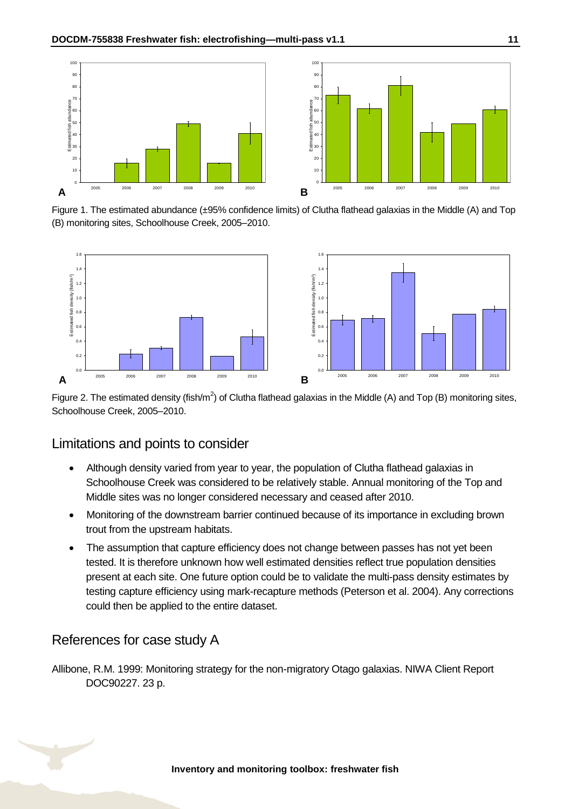

Figure 1. The estimated abundance (±95% confidence limits) of Clutha flathead galaxias in the Middle (A) and Top (B) monitoring sites, Schoolhouse Creek, 2005–2010.



Figure 2. The estimated density (fish/m<sup>2</sup>) of Clutha flathead galaxias in the Middle (A) and Top (B) monitoring sites, Schoolhouse Creek, 2005–2010.

#### Limitations and points to consider

- Although density varied from year to year, the population of Clutha flathead galaxias in Schoolhouse Creek was considered to be relatively stable. Annual monitoring of the Top and Middle sites was no longer considered necessary and ceased after 2010.
- Monitoring of the downstream barrier continued because of its importance in excluding brown trout from the upstream habitats.
- The assumption that capture efficiency does not change between passes has not yet been tested. It is therefore unknown how well estimated densities reflect true population densities present at each site. One future option could be to validate the multi-pass density estimates by testing capture efficiency using mark-recapture methods (Peterson et al. 2004). Any corrections could then be applied to the entire dataset.

### References for case study A

Allibone, R.M. 1999: Monitoring strategy for the non-migratory Otago galaxias. NIWA Client Report DOC90227. 23 p.

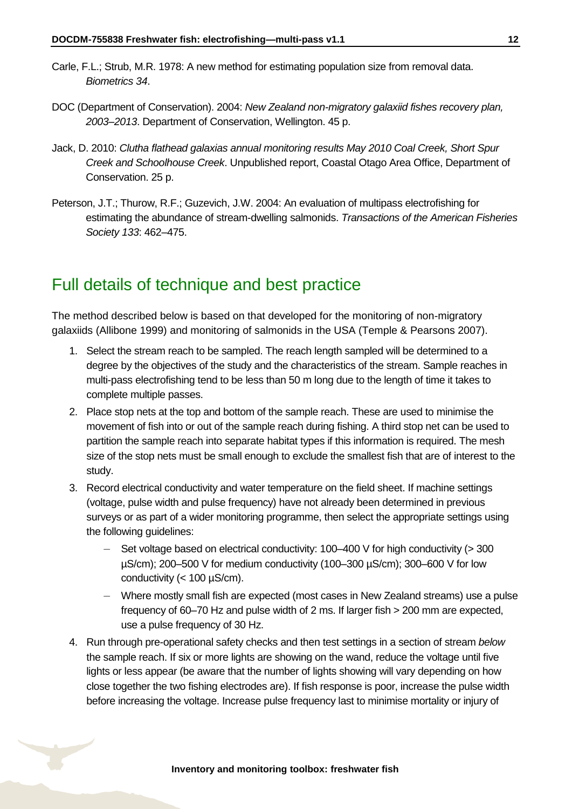- Carle, F.L.; Strub, M.R. 1978: A new method for estimating population size from removal data. *Biometrics 34*.
- DOC (Department of Conservation). 2004: *New Zealand non-migratory galaxiid fishes recovery plan, 2003–2013*. Department of Conservation, Wellington. 45 p.
- Jack, D. 2010: *Clutha flathead galaxias annual monitoring results May 2010 Coal Creek, Short Spur Creek and Schoolhouse Creek*. Unpublished report, Coastal Otago Area Office, Department of Conservation. 25 p.
- Peterson, J.T.; Thurow, R.F.; Guzevich, J.W. 2004: An evaluation of multipass electrofishing for estimating the abundance of stream-dwelling salmonids. *Transactions of the American Fisheries Society 133*: 462–475.

### <span id="page-11-0"></span>Full details of technique and best practice

The method described below is based on that developed for the monitoring of non-migratory galaxiids (Allibone 1999) and monitoring of salmonids in the USA (Temple & Pearsons 2007).

- 1. Select the stream reach to be sampled. The reach length sampled will be determined to a degree by the objectives of the study and the characteristics of the stream. Sample reaches in multi-pass electrofishing tend to be less than 50 m long due to the length of time it takes to complete multiple passes.
- 2. Place stop nets at the top and bottom of the sample reach. These are used to minimise the movement of fish into or out of the sample reach during fishing. A third stop net can be used to partition the sample reach into separate habitat types if this information is required. The mesh size of the stop nets must be small enough to exclude the smallest fish that are of interest to the study.
- 3. Record electrical conductivity and water temperature on the field sheet. If machine settings (voltage, pulse width and pulse frequency) have not already been determined in previous surveys or as part of a wider monitoring programme, then select the appropriate settings using the following guidelines:
	- Set voltage based on electrical conductivity:  $100-400$  V for high conductivity ( $>300$ µS/cm); 200–500 V for medium conductivity (100–300 µS/cm); 300–600 V for low conductivity  $(< 100 \mu S/cm)$ .
	- Where mostly small fish are expected (most cases in New Zealand streams) use a pulse frequency of 60–70 Hz and pulse width of 2 ms. If larger fish > 200 mm are expected, use a pulse frequency of 30 Hz.
- 4. Run through pre-operational safety checks and then test settings in a section of stream *below* the sample reach. If six or more lights are showing on the wand, reduce the voltage until five lights or less appear (be aware that the number of lights showing will vary depending on how close together the two fishing electrodes are). If fish response is poor, increase the pulse width before increasing the voltage. Increase pulse frequency last to minimise mortality or injury of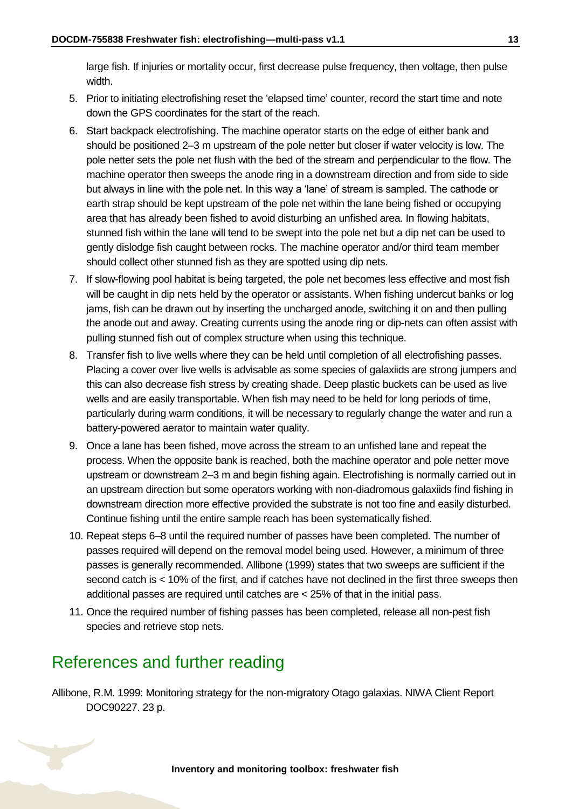large fish. If injuries or mortality occur, first decrease pulse frequency, then voltage, then pulse width.

- 5. Prior to initiating electrofishing reset the 'elapsed time' counter, record the start time and note down the GPS coordinates for the start of the reach.
- 6. Start backpack electrofishing. The machine operator starts on the edge of either bank and should be positioned 2–3 m upstream of the pole netter but closer if water velocity is low. The pole netter sets the pole net flush with the bed of the stream and perpendicular to the flow. The machine operator then sweeps the anode ring in a downstream direction and from side to side but always in line with the pole net. In this way a 'lane' of stream is sampled. The cathode or earth strap should be kept upstream of the pole net within the lane being fished or occupying area that has already been fished to avoid disturbing an unfished area. In flowing habitats, stunned fish within the lane will tend to be swept into the pole net but a dip net can be used to gently dislodge fish caught between rocks. The machine operator and/or third team member should collect other stunned fish as they are spotted using dip nets.
- 7. If slow-flowing pool habitat is being targeted, the pole net becomes less effective and most fish will be caught in dip nets held by the operator or assistants. When fishing undercut banks or log jams, fish can be drawn out by inserting the uncharged anode, switching it on and then pulling the anode out and away. Creating currents using the anode ring or dip-nets can often assist with pulling stunned fish out of complex structure when using this technique.
- 8. Transfer fish to live wells where they can be held until completion of all electrofishing passes. Placing a cover over live wells is advisable as some species of galaxiids are strong jumpers and this can also decrease fish stress by creating shade. Deep plastic buckets can be used as live wells and are easily transportable. When fish may need to be held for long periods of time, particularly during warm conditions, it will be necessary to regularly change the water and run a battery-powered aerator to maintain water quality.
- 9. Once a lane has been fished, move across the stream to an unfished lane and repeat the process. When the opposite bank is reached, both the machine operator and pole netter move upstream or downstream 2–3 m and begin fishing again. Electrofishing is normally carried out in an upstream direction but some operators working with non-diadromous galaxiids find fishing in downstream direction more effective provided the substrate is not too fine and easily disturbed. Continue fishing until the entire sample reach has been systematically fished.
- 10. Repeat steps 6–8 until the required number of passes have been completed. The number of passes required will depend on the removal model being used. However, a minimum of three passes is generally recommended. Allibone (1999) states that two sweeps are sufficient if the second catch is < 10% of the first, and if catches have not declined in the first three sweeps then additional passes are required until catches are < 25% of that in the initial pass.
- 11. Once the required number of fishing passes has been completed, release all non-pest fish species and retrieve stop nets.

# <span id="page-12-0"></span>References and further reading

Allibone, R.M. 1999: Monitoring strategy for the non-migratory Otago galaxias. NIWA Client Report DOC90227. 23 p.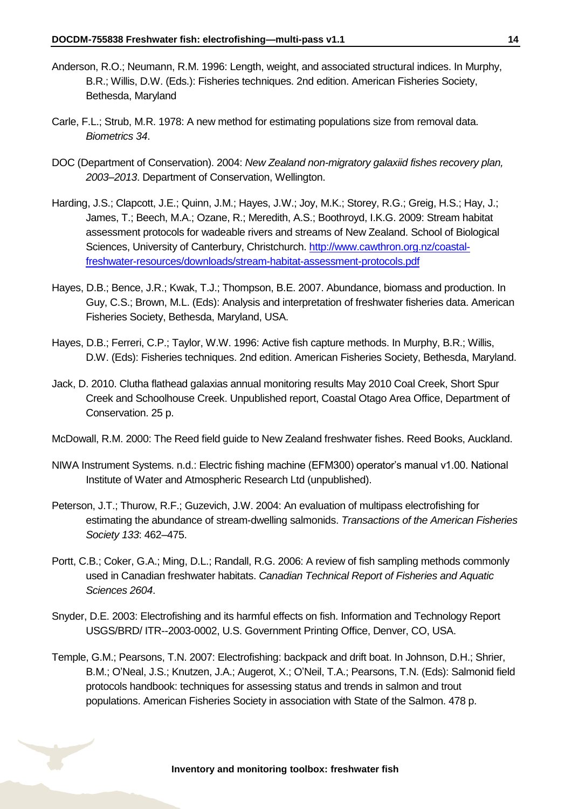- Anderson, R.O.; Neumann, R.M. 1996: Length, weight, and associated structural indices. In Murphy, B.R.; Willis, D.W. (Eds.): Fisheries techniques. 2nd edition. American Fisheries Society, Bethesda, Maryland
- Carle, F.L.; Strub, M.R. 1978: A new method for estimating populations size from removal data. *Biometrics 34*.
- DOC (Department of Conservation). 2004: *New Zealand non-migratory galaxiid fishes recovery plan, 2003–2013*. Department of Conservation, Wellington.
- Harding, J.S.; Clapcott, J.E.; Quinn, J.M.; Hayes, J.W.; Joy, M.K.; Storey, R.G.; Greig, H.S.; Hay, J.; James, T.; Beech, M.A.; Ozane, R.; Meredith, A.S.; Boothroyd, I.K.G. 2009: Stream habitat assessment protocols for wadeable rivers and streams of New Zealand. School of Biological Sciences, University of Canterbury, Christchurch. [http://www.cawthron.org.nz/coastal](http://www.cawthron.org.nz/coastal-freshwater-resources/downloads/stream-habitat-assessment-protocols.pdf)[freshwater-resources/downloads/stream-habitat-assessment-protocols.pdf](http://www.cawthron.org.nz/coastal-freshwater-resources/downloads/stream-habitat-assessment-protocols.pdf)
- Hayes, D.B.; Bence, J.R.; Kwak, T.J.; Thompson, B.E. 2007. Abundance, biomass and production. In Guy, C.S.; Brown, M.L. (Eds): Analysis and interpretation of freshwater fisheries data. American Fisheries Society, Bethesda, Maryland, USA.
- Hayes, D.B.; Ferreri, C.P.; Taylor, W.W. 1996: Active fish capture methods. In Murphy, B.R.; Willis, D.W. (Eds): Fisheries techniques. 2nd edition. American Fisheries Society, Bethesda, Maryland.
- Jack, D. 2010. Clutha flathead galaxias annual monitoring results May 2010 Coal Creek, Short Spur Creek and Schoolhouse Creek. Unpublished report, Coastal Otago Area Office, Department of Conservation. 25 p.

McDowall, R.M. 2000: The Reed field guide to New Zealand freshwater fishes. Reed Books, Auckland.

- NIWA Instrument Systems. n.d.: Electric fishing machine (EFM300) operator's manual v1.00. National Institute of Water and Atmospheric Research Ltd (unpublished).
- Peterson, J.T.; Thurow, R.F.; Guzevich, J.W. 2004: An evaluation of multipass electrofishing for estimating the abundance of stream-dwelling salmonids. *Transactions of the American Fisheries Society 133*: 462–475.
- Portt, C.B.; Coker, G.A.; Ming, D.L.; Randall, R.G. 2006: A review of fish sampling methods commonly used in Canadian freshwater habitats. *Canadian Technical Report of Fisheries and Aquatic Sciences 2604*.
- Snyder, D.E. 2003: Electrofishing and its harmful effects on fish. Information and Technology Report USGS/BRD/ ITR--2003-0002, U.S. Government Printing Office, Denver, CO, USA.
- Temple, G.M.; Pearsons, T.N. 2007: Electrofishing: backpack and drift boat. In Johnson, D.H.; Shrier, B.M.; O'Neal, J.S.; Knutzen, J.A.; Augerot, X.; O'Neil, T.A.; Pearsons, T.N. (Eds): Salmonid field protocols handbook: techniques for assessing status and trends in salmon and trout populations. American Fisheries Society in association with State of the Salmon. 478 p.